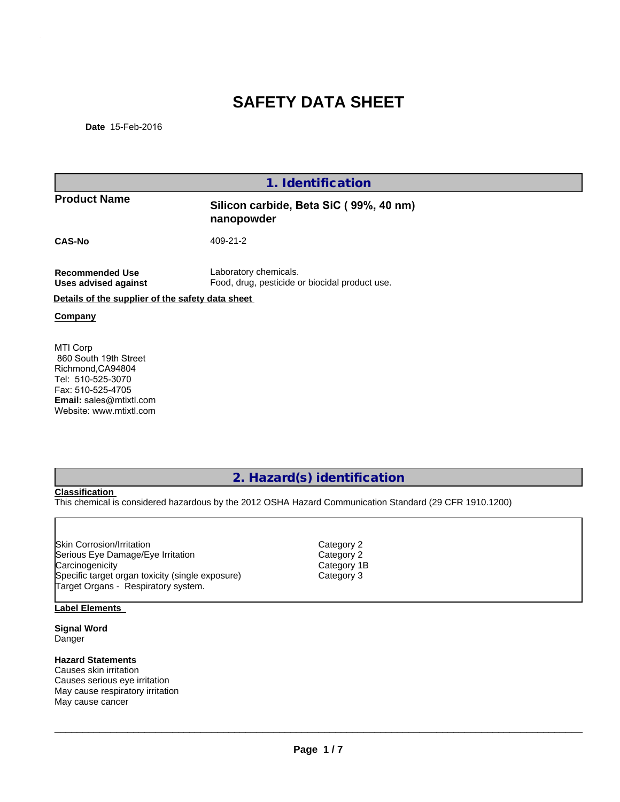# **SAFETY DATA SHEET**

| Date 15-Feb-2016                                                                                                                                       | <b>SAFETY DATA SHEET</b>                                                                                |
|--------------------------------------------------------------------------------------------------------------------------------------------------------|---------------------------------------------------------------------------------------------------------|
|                                                                                                                                                        | 1. Identification                                                                                       |
| <b>Product Name</b>                                                                                                                                    | Silicon carbide, Beta SiC (99%, 40 nm)<br>nanopowder                                                    |
| <b>CAS-No</b>                                                                                                                                          | 409-21-2                                                                                                |
| <b>Recommended Use</b><br><b>Uses advised against</b>                                                                                                  | Laboratory chemicals.<br>Food, drug, pesticide or biocidal product use.                                 |
| Details of the supplier of the safety data sheet                                                                                                       |                                                                                                         |
| Company                                                                                                                                                |                                                                                                         |
| MTI Corp<br>860 South 19th Street<br>Richmond, CA94804<br>Tel: 510-525-3070<br>Fax: 510-525-4705<br>Email: sales@mtixtl.com<br>Website: www.mtixtl.com |                                                                                                         |
|                                                                                                                                                        |                                                                                                         |
| <b>Classification</b>                                                                                                                                  | 2. Hazard(s) identification                                                                             |
|                                                                                                                                                        | This chemical is considered hazardous by the 2012 OSHA Hazard Communication Standard (29 CFR 1910.1200) |
|                                                                                                                                                        |                                                                                                         |

Skin Corrosion/Irritation community control Category 2<br>
Serious Eye Damage/Eye Irritation community category 2 Serious Eye Damage/Eye Irritation and Category 2<br>Carcinogenicity Category 1B Carcinogenicity Category 1<br>
Specific target organ toxicity (single exposure) Category 3 Specific target organ toxicity (single exposure) Target Organs - Respiratory system.

### **Label Elements**

**Signal Word** Danger

### **Hazard Statements**

Causes skin irritation Causes serious eye irritation May cause respiratory irritation May cause cancer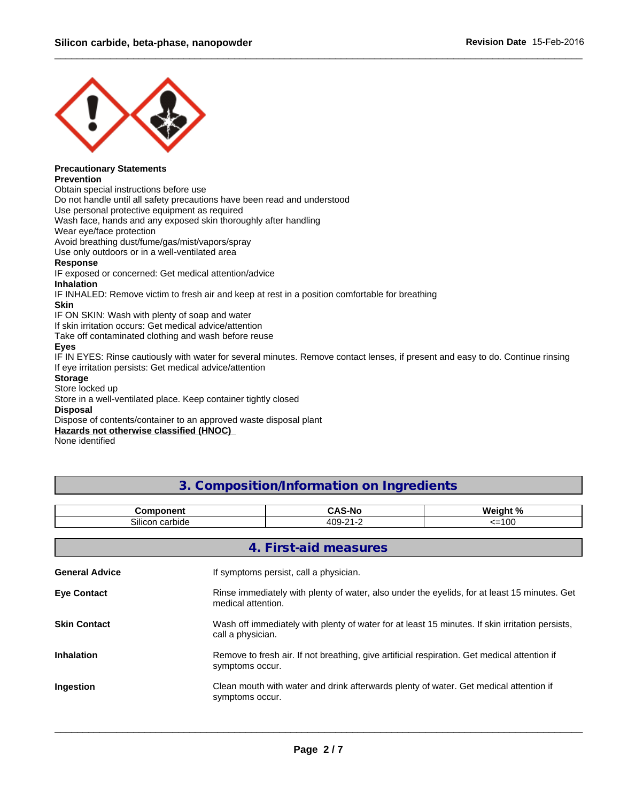

### **Precautionary Statements Prevention**

Obtain special instructions before use

Do not handle until all safety precautions have been read and understood

Use personal protective equipment as required

Wash face, hands and any exposed skin thoroughly after handling

Wear eye/face protection

Avoid breathing dust/fume/gas/mist/vapors/spray

Use only outdoors or in a well-ventilated area

### **Response**

IF exposed or concerned: Get medical attention/advice

### **Inhalation**

IF INHALED: Remove victim to fresh air and keep at rest in a position comfortable for breathing

### **Skin**

### **Eyes**

 $\_$  ,  $\_$  ,  $\_$  ,  $\_$  ,  $\_$  ,  $\_$  ,  $\_$  ,  $\_$  ,  $\_$  ,  $\_$  ,  $\_$  ,  $\_$  ,  $\_$  ,  $\_$  ,  $\_$  ,  $\_$  ,  $\_$  ,  $\_$  ,  $\_$  ,  $\_$  ,  $\_$  ,  $\_$  ,  $\_$  ,  $\_$  ,  $\_$  ,  $\_$  ,  $\_$  ,  $\_$  ,  $\_$  ,  $\_$  ,  $\_$  ,  $\_$  ,  $\_$  ,  $\_$  ,  $\_$  ,  $\_$  ,  $\_$  ,

### **Storage**

### **Disposal**

| <b>Skin</b>                                                                                                                     |                                           |          |
|---------------------------------------------------------------------------------------------------------------------------------|-------------------------------------------|----------|
| IF ON SKIN: Wash with plenty of soap and water                                                                                  |                                           |          |
| If skin irritation occurs: Get medical advice/attention                                                                         |                                           |          |
| Take off contaminated clothing and wash before reuse                                                                            |                                           |          |
| <b>Eyes</b>                                                                                                                     |                                           |          |
| IF IN EYES: Rinse cautiously with water for several minutes. Remove contact lenses, if present and easy to do. Continue rinsing |                                           |          |
| If eye irritation persists: Get medical advice/attention                                                                        |                                           |          |
| <b>Storage</b>                                                                                                                  |                                           |          |
| Store locked up                                                                                                                 |                                           |          |
| Store in a well-ventilated place. Keep container tightly closed                                                                 |                                           |          |
| <b>Disposal</b>                                                                                                                 |                                           |          |
| Dispose of contents/container to an approved waste disposal plant                                                               |                                           |          |
| Hazards not otherwise classified (HNOC)                                                                                         |                                           |          |
| None identified                                                                                                                 |                                           |          |
|                                                                                                                                 |                                           |          |
|                                                                                                                                 |                                           |          |
|                                                                                                                                 |                                           |          |
|                                                                                                                                 | 3. Composition/Information on Ingredients |          |
|                                                                                                                                 |                                           |          |
| Component                                                                                                                       | <b>CAS-No</b>                             | Weight % |
|                                                                                                                                 |                                           |          |
| Silicon carbide                                                                                                                 | 409-21-2                                  | $=100$   |

| If eye irritation persists: Get medical advice/attention          |                    |                                           |                                                                                                 |
|-------------------------------------------------------------------|--------------------|-------------------------------------------|-------------------------------------------------------------------------------------------------|
| <b>Storage</b>                                                    |                    |                                           |                                                                                                 |
| Store locked up                                                   |                    |                                           |                                                                                                 |
| Store in a well-ventilated place. Keep container tightly closed   |                    |                                           |                                                                                                 |
| <b>Disposal</b>                                                   |                    |                                           |                                                                                                 |
| Dispose of contents/container to an approved waste disposal plant |                    |                                           |                                                                                                 |
| <b>Hazards not otherwise classified (HNOC)</b><br>None identified |                    |                                           |                                                                                                 |
|                                                                   |                    |                                           |                                                                                                 |
|                                                                   |                    |                                           |                                                                                                 |
|                                                                   |                    |                                           |                                                                                                 |
|                                                                   |                    | 3. Composition/Information on Ingredients |                                                                                                 |
|                                                                   |                    |                                           |                                                                                                 |
| Component                                                         |                    | <b>CAS-No</b>                             | Weight %                                                                                        |
| Silicon carbide                                                   |                    | 409-21-2                                  | $=100$                                                                                          |
|                                                                   |                    |                                           |                                                                                                 |
|                                                                   |                    | 4. First-aid measures                     |                                                                                                 |
|                                                                   |                    |                                           |                                                                                                 |
| <b>General Advice</b>                                             |                    | If symptoms persist, call a physician.    |                                                                                                 |
|                                                                   |                    |                                           |                                                                                                 |
| <b>Eye Contact</b>                                                |                    |                                           | Rinse immediately with plenty of water, also under the eyelids, for at least 15 minutes. Get    |
|                                                                   | medical attention. |                                           |                                                                                                 |
|                                                                   |                    |                                           |                                                                                                 |
| <b>Skin Contact</b>                                               |                    |                                           | Wash off immediately with plenty of water for at least 15 minutes. If skin irritation persists, |
|                                                                   | call a physician.  |                                           |                                                                                                 |
|                                                                   |                    |                                           |                                                                                                 |
| <b>Inhalation</b>                                                 |                    |                                           | Remove to fresh air. If not breathing, give artificial respiration. Get medical attention if    |
|                                                                   | symptoms occur.    |                                           |                                                                                                 |
| Ingestion                                                         |                    |                                           | Clean mouth with water and drink afterwards plenty of water. Get medical attention if           |
|                                                                   | symptoms occur.    |                                           |                                                                                                 |
|                                                                   |                    |                                           |                                                                                                 |

 $\Box$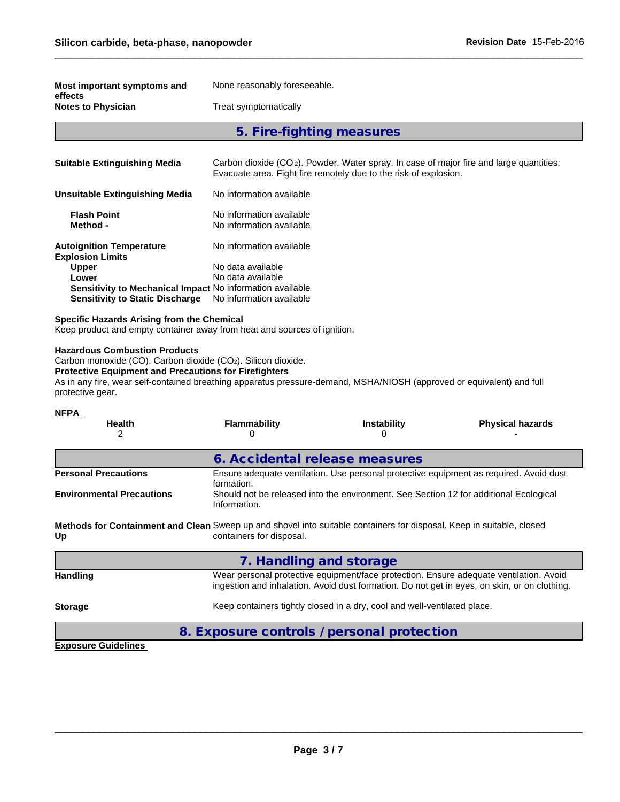| Silicon carbide, beta-phase, nanopowder<br>None reasonably foreseeable.<br>effects<br><b>Notes to Physician</b><br>Treat symptomatically<br>5. Fire-fighting measures<br><b>Suitable Extinguishing Media</b><br>Carbon dioxide (CO <sub>2</sub> ). Powder. Water spray. In case of major fire and large quantities:<br>Evacuate area. Fight fire remotely due to the risk of explosion.<br>No information available<br><b>Flash Point</b><br>No information available<br>Method -<br>No information available<br>No information available<br>Upper<br>No data available<br>No data available<br>Lower<br>Sensitivity to Mechanical Impact No information available<br><b>Sensitivity to Static Discharge</b><br>No information available<br>Specific Hazards Arising from the Chemical<br>Keep product and empty container away from heat and sources of ignition.<br>Carbon monoxide (CO). Carbon dioxide (CO <sub>2</sub> ). Silicon dioxide.<br><b>Protective Equipment and Precautions for Firefighters</b><br>As in any fire, wear self-contained breathing apparatus pressure-demand, MSHA/NIOSH (approved or equivalent) and full<br><b>Flammability</b><br>Instability<br><b>Physical hazards</b><br><b>Health</b><br>2<br>0<br>0<br>6. Accidental release measures<br>Ensure adequate ventilation. Use personal protective equipment as required. Avoid dust<br>formation.<br>Should not be released into the environment. See Section 12 for additional Ecological<br>Information.<br>Methods for Containment and Clean Sweep up and shovel into suitable containers for disposal. Keep in suitable, closed<br>containers for disposal.<br>7. Handling and storage<br>Wear personal protective equipment/face protection. Ensure adequate ventilation. Avoid<br>ingestion and inhalation. Avoid dust formation. Do not get in eyes, on skin, or on clothing.<br>Keep containers tightly closed in a dry, cool and well-ventilated place. |                                                            |  |                                  |
|----------------------------------------------------------------------------------------------------------------------------------------------------------------------------------------------------------------------------------------------------------------------------------------------------------------------------------------------------------------------------------------------------------------------------------------------------------------------------------------------------------------------------------------------------------------------------------------------------------------------------------------------------------------------------------------------------------------------------------------------------------------------------------------------------------------------------------------------------------------------------------------------------------------------------------------------------------------------------------------------------------------------------------------------------------------------------------------------------------------------------------------------------------------------------------------------------------------------------------------------------------------------------------------------------------------------------------------------------------------------------------------------------------------------------------------------------------------------------------------------------------------------------------------------------------------------------------------------------------------------------------------------------------------------------------------------------------------------------------------------------------------------------------------------------------------------------------------------------------------------------------------------------------------------------------------------------|------------------------------------------------------------|--|----------------------------------|
|                                                                                                                                                                                                                                                                                                                                                                                                                                                                                                                                                                                                                                                                                                                                                                                                                                                                                                                                                                                                                                                                                                                                                                                                                                                                                                                                                                                                                                                                                                                                                                                                                                                                                                                                                                                                                                                                                                                                                    |                                                            |  |                                  |
|                                                                                                                                                                                                                                                                                                                                                                                                                                                                                                                                                                                                                                                                                                                                                                                                                                                                                                                                                                                                                                                                                                                                                                                                                                                                                                                                                                                                                                                                                                                                                                                                                                                                                                                                                                                                                                                                                                                                                    |                                                            |  | <b>Revision Date 15-Feb-2016</b> |
|                                                                                                                                                                                                                                                                                                                                                                                                                                                                                                                                                                                                                                                                                                                                                                                                                                                                                                                                                                                                                                                                                                                                                                                                                                                                                                                                                                                                                                                                                                                                                                                                                                                                                                                                                                                                                                                                                                                                                    | Most important symptoms and                                |  |                                  |
|                                                                                                                                                                                                                                                                                                                                                                                                                                                                                                                                                                                                                                                                                                                                                                                                                                                                                                                                                                                                                                                                                                                                                                                                                                                                                                                                                                                                                                                                                                                                                                                                                                                                                                                                                                                                                                                                                                                                                    |                                                            |  |                                  |
|                                                                                                                                                                                                                                                                                                                                                                                                                                                                                                                                                                                                                                                                                                                                                                                                                                                                                                                                                                                                                                                                                                                                                                                                                                                                                                                                                                                                                                                                                                                                                                                                                                                                                                                                                                                                                                                                                                                                                    |                                                            |  |                                  |
|                                                                                                                                                                                                                                                                                                                                                                                                                                                                                                                                                                                                                                                                                                                                                                                                                                                                                                                                                                                                                                                                                                                                                                                                                                                                                                                                                                                                                                                                                                                                                                                                                                                                                                                                                                                                                                                                                                                                                    |                                                            |  |                                  |
|                                                                                                                                                                                                                                                                                                                                                                                                                                                                                                                                                                                                                                                                                                                                                                                                                                                                                                                                                                                                                                                                                                                                                                                                                                                                                                                                                                                                                                                                                                                                                                                                                                                                                                                                                                                                                                                                                                                                                    | <b>Unsuitable Extinguishing Media</b>                      |  |                                  |
|                                                                                                                                                                                                                                                                                                                                                                                                                                                                                                                                                                                                                                                                                                                                                                                                                                                                                                                                                                                                                                                                                                                                                                                                                                                                                                                                                                                                                                                                                                                                                                                                                                                                                                                                                                                                                                                                                                                                                    |                                                            |  |                                  |
|                                                                                                                                                                                                                                                                                                                                                                                                                                                                                                                                                                                                                                                                                                                                                                                                                                                                                                                                                                                                                                                                                                                                                                                                                                                                                                                                                                                                                                                                                                                                                                                                                                                                                                                                                                                                                                                                                                                                                    | <b>Autoignition Temperature</b><br><b>Explosion Limits</b> |  |                                  |
|                                                                                                                                                                                                                                                                                                                                                                                                                                                                                                                                                                                                                                                                                                                                                                                                                                                                                                                                                                                                                                                                                                                                                                                                                                                                                                                                                                                                                                                                                                                                                                                                                                                                                                                                                                                                                                                                                                                                                    |                                                            |  |                                  |
|                                                                                                                                                                                                                                                                                                                                                                                                                                                                                                                                                                                                                                                                                                                                                                                                                                                                                                                                                                                                                                                                                                                                                                                                                                                                                                                                                                                                                                                                                                                                                                                                                                                                                                                                                                                                                                                                                                                                                    |                                                            |  |                                  |
|                                                                                                                                                                                                                                                                                                                                                                                                                                                                                                                                                                                                                                                                                                                                                                                                                                                                                                                                                                                                                                                                                                                                                                                                                                                                                                                                                                                                                                                                                                                                                                                                                                                                                                                                                                                                                                                                                                                                                    | <b>Hazardous Combustion Products</b><br>protective gear.   |  |                                  |
|                                                                                                                                                                                                                                                                                                                                                                                                                                                                                                                                                                                                                                                                                                                                                                                                                                                                                                                                                                                                                                                                                                                                                                                                                                                                                                                                                                                                                                                                                                                                                                                                                                                                                                                                                                                                                                                                                                                                                    | <b>NFPA</b>                                                |  |                                  |
|                                                                                                                                                                                                                                                                                                                                                                                                                                                                                                                                                                                                                                                                                                                                                                                                                                                                                                                                                                                                                                                                                                                                                                                                                                                                                                                                                                                                                                                                                                                                                                                                                                                                                                                                                                                                                                                                                                                                                    |                                                            |  |                                  |
|                                                                                                                                                                                                                                                                                                                                                                                                                                                                                                                                                                                                                                                                                                                                                                                                                                                                                                                                                                                                                                                                                                                                                                                                                                                                                                                                                                                                                                                                                                                                                                                                                                                                                                                                                                                                                                                                                                                                                    | <b>Personal Precautions</b>                                |  |                                  |
|                                                                                                                                                                                                                                                                                                                                                                                                                                                                                                                                                                                                                                                                                                                                                                                                                                                                                                                                                                                                                                                                                                                                                                                                                                                                                                                                                                                                                                                                                                                                                                                                                                                                                                                                                                                                                                                                                                                                                    | <b>Environmental Precautions</b>                           |  |                                  |
|                                                                                                                                                                                                                                                                                                                                                                                                                                                                                                                                                                                                                                                                                                                                                                                                                                                                                                                                                                                                                                                                                                                                                                                                                                                                                                                                                                                                                                                                                                                                                                                                                                                                                                                                                                                                                                                                                                                                                    | Up                                                         |  |                                  |
|                                                                                                                                                                                                                                                                                                                                                                                                                                                                                                                                                                                                                                                                                                                                                                                                                                                                                                                                                                                                                                                                                                                                                                                                                                                                                                                                                                                                                                                                                                                                                                                                                                                                                                                                                                                                                                                                                                                                                    |                                                            |  |                                  |
|                                                                                                                                                                                                                                                                                                                                                                                                                                                                                                                                                                                                                                                                                                                                                                                                                                                                                                                                                                                                                                                                                                                                                                                                                                                                                                                                                                                                                                                                                                                                                                                                                                                                                                                                                                                                                                                                                                                                                    | <b>Handling</b>                                            |  |                                  |
|                                                                                                                                                                                                                                                                                                                                                                                                                                                                                                                                                                                                                                                                                                                                                                                                                                                                                                                                                                                                                                                                                                                                                                                                                                                                                                                                                                                                                                                                                                                                                                                                                                                                                                                                                                                                                                                                                                                                                    | <b>Storage</b>                                             |  |                                  |

Handling **Handling** Wear personal protective equipment/face protection. Ensure adequate ventilation. Avoid ingestion and inhalation. Avoid dust formation. Do not get in eyes, on skin, or on clothing. 6. Accidental release measures<br> **Ensure adequate ventilation.** Use personal protective equipment as required. Avoid dust<br>
formation.<br>
Should not be released into the environment. See Section 12 for additional Ecological<br>
I

## **Storage** Keep containers tightly closed in a dry, cool and well-ventilated place.

**Exposure Guidelines** 

 $\overline{a_1}$  ,  $\overline{a_2}$  ,  $\overline{a_3}$  ,  $\overline{a_4}$  ,  $\overline{a_5}$  ,  $\overline{a_6}$  ,  $\overline{a_7}$  ,  $\overline{a_8}$  ,  $\overline{a_9}$  ,  $\overline{a_9}$  ,  $\overline{a_9}$  ,  $\overline{a_9}$  ,  $\overline{a_9}$  ,  $\overline{a_9}$  ,  $\overline{a_9}$  ,  $\overline{a_9}$  ,  $\overline{a_9}$  ,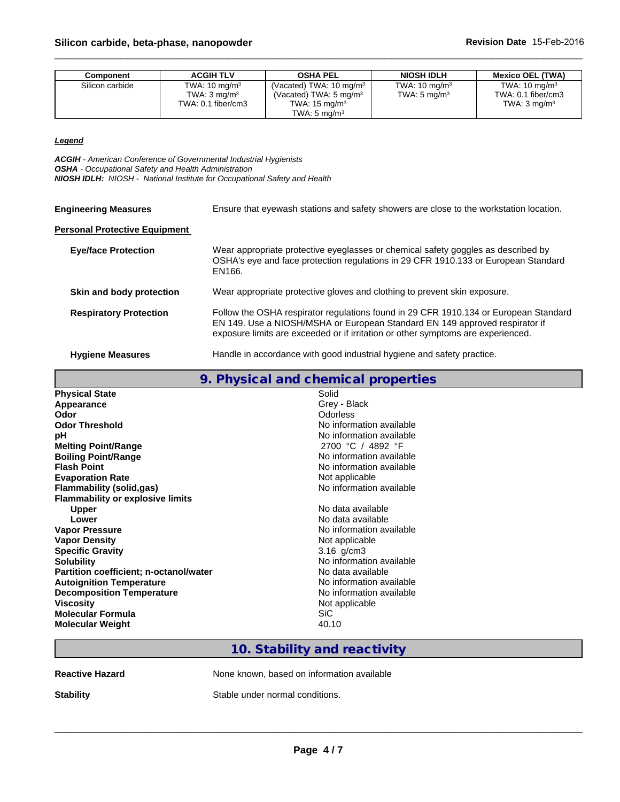| Component       | <b>ACGIH TLV</b>         | <b>OSHA PEL</b>                    | <b>NIOSH IDLH</b>        | <b>Mexico OEL (TWA)</b>  |
|-----------------|--------------------------|------------------------------------|--------------------------|--------------------------|
| Silicon carbide | TWA: $10 \text{ mg/m}^3$ | (Vacated) TWA: $10 \text{ mg/m}^3$ | TWA: $10 \text{ mg/m}^3$ | TWA: $10 \text{ ma/m}^3$ |
|                 | TWA: $3 \text{ mg/m}^3$  | (Vacated) TWA: $5 \text{ mg/m}^3$  | TWA: $5 \text{ mg/m}^3$  | TWA: 0.1 fiber/cm3       |
|                 | TWA: 0.1 fiber/cm3       | TWA: $15 \text{ ma/m}^3$           |                          | TWA: $3 \text{ ma/m}^3$  |
|                 |                          | TWA: $5 \text{ mg/m}^3$            |                          |                          |

### *Legend*

*ACGIH - American Conference of Governmental Industrial Hygienists OSHA - Occupational Safety and Health Administration NIOSH IDLH: NIOSH - National Institute for Occupational Safety and Health*

| <b>Engineering Measures</b>          | Ensure that eyewash stations and safety showers are close to the workstation location.                                                                                                                                                                  |
|--------------------------------------|---------------------------------------------------------------------------------------------------------------------------------------------------------------------------------------------------------------------------------------------------------|
| <b>Personal Protective Equipment</b> |                                                                                                                                                                                                                                                         |
| <b>Eye/face Protection</b>           | Wear appropriate protective eyeglasses or chemical safety goggles as described by<br>OSHA's eye and face protection regulations in 29 CFR 1910.133 or European Standard<br>EN166.                                                                       |
| Skin and body protection             | Wear appropriate protective gloves and clothing to prevent skin exposure.                                                                                                                                                                               |
| <b>Respiratory Protection</b>        | Follow the OSHA respirator regulations found in 29 CFR 1910.134 or European Standard<br>EN 149. Use a NIOSH/MSHA or European Standard EN 149 approved respirator if<br>exposure limits are exceeded or if irritation or other symptoms are experienced. |
| <b>Hygiene Measures</b>              | Handle in accordance with good industrial hygiene and safety practice.                                                                                                                                                                                  |
|                                      | 9. Physical and chemical properties                                                                                                                                                                                                                     |
| <b>Physical State</b>                | Solid                                                                                                                                                                                                                                                   |
| Appearance                           | Grey - Black                                                                                                                                                                                                                                            |
| Odor                                 | <b>Odorless</b>                                                                                                                                                                                                                                         |
| <b>Odor Threshold</b>                | No information available                                                                                                                                                                                                                                |
| nН                                   | No information available                                                                                                                                                                                                                                |

|                                         | 9. Physical and chemical properties        |
|-----------------------------------------|--------------------------------------------|
| <b>Physical State</b>                   | Solid                                      |
| Appearance                              | Grey - Black                               |
| Odor                                    | Odorless                                   |
| <b>Odor Threshold</b>                   | No information available                   |
| рH                                      | No information available                   |
| <b>Melting Point/Range</b>              | 2700 °C / 4892 °F                          |
| <b>Boiling Point/Range</b>              | No information available                   |
| <b>Flash Point</b>                      | No information available                   |
| <b>Evaporation Rate</b>                 | Not applicable                             |
| <b>Flammability (solid,gas)</b>         | No information available                   |
| <b>Flammability or explosive limits</b> |                                            |
| <b>Upper</b>                            | No data available                          |
| Lower                                   | No data available                          |
| <b>Vapor Pressure</b>                   | No information available                   |
| <b>Vapor Density</b>                    | Not applicable                             |
| <b>Specific Gravity</b>                 | $3.16$ g/cm $3$                            |
| <b>Solubility</b>                       | No information available                   |
| Partition coefficient; n-octanol/water  | No data available                          |
| <b>Autoignition Temperature</b>         | No information available                   |
| <b>Decomposition Temperature</b>        | No information available                   |
| <b>Viscosity</b>                        | Not applicable                             |
| <b>Molecular Formula</b>                | <b>SiC</b>                                 |
| <b>Molecular Weight</b>                 | 40.10                                      |
|                                         |                                            |
|                                         | 10. Stability and reactivity               |
|                                         |                                            |
| <b>Reactive Hazard</b>                  | None known, based on information available |
| <b>Stability</b>                        | Stable under normal conditions.            |
|                                         |                                            |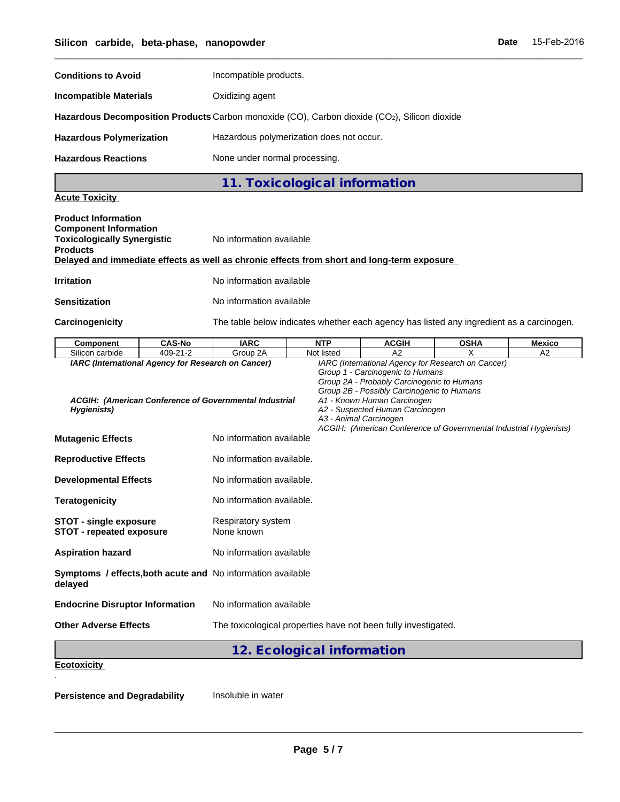| Silicon carbide, beta-phase, nanopowder                                               |               |                                                                                              |                               |              |             | Date | 15-Feb-2016   |
|---------------------------------------------------------------------------------------|---------------|----------------------------------------------------------------------------------------------|-------------------------------|--------------|-------------|------|---------------|
| <b>Conditions to Avoid</b>                                                            |               | Incompatible products.                                                                       |                               |              |             |      |               |
| <b>Incompatible Materials</b>                                                         |               | Oxidizing agent                                                                              |                               |              |             |      |               |
|                                                                                       |               | Hazardous Decomposition Products Carbon monoxide (CO), Carbon dioxide (CO2), Silicon dioxide |                               |              |             |      |               |
| <b>Hazardous Polymerization</b>                                                       |               | Hazardous polymerization does not occur.                                                     |                               |              |             |      |               |
| <b>Hazardous Reactions</b>                                                            |               | None under normal processing.                                                                |                               |              |             |      |               |
|                                                                                       |               |                                                                                              | 11. Toxicological information |              |             |      |               |
| <b>Acute Toxicity</b>                                                                 |               |                                                                                              |                               |              |             |      |               |
| <b>Product Information</b>                                                            |               |                                                                                              |                               |              |             |      |               |
| <b>Component Information</b><br><b>Toxicologically Synergistic</b><br><b>Products</b> |               | No information available                                                                     |                               |              |             |      |               |
|                                                                                       |               | Delayed and immediate effects as well as chronic effects from short and long-term exposure   |                               |              |             |      |               |
| <b>Irritation</b>                                                                     |               | No information available                                                                     |                               |              |             |      |               |
| <b>Sensitization</b>                                                                  |               | No information available                                                                     |                               |              |             |      |               |
| <b>Carcinogenicity</b>                                                                |               | The table below indicates whether each agency has listed any ingredient as a carcinogen.     |                               |              |             |      |               |
| <b>Component</b>                                                                      | <b>CAS-No</b> | <b>IARC</b>                                                                                  | <b>NTP</b>                    | <b>ACGIH</b> | <b>OSHA</b> |      | <b>Mexico</b> |
|                                                                                       |               |                                                                                              |                               |              |             |      |               |

| <b>Component</b>                                                       | <b>CAS-No</b> | <b>IARC</b>                                            | <b>NTP</b>                 | <b>ACGIH</b>                                                                                                                                                                                                                                                                                                                                         | <b>OSHA</b> | <b>Mexico</b> |
|------------------------------------------------------------------------|---------------|--------------------------------------------------------|----------------------------|------------------------------------------------------------------------------------------------------------------------------------------------------------------------------------------------------------------------------------------------------------------------------------------------------------------------------------------------------|-------------|---------------|
| Silicon carbide                                                        | 409-21-2      | Group 2A                                               | Not listed                 | A2                                                                                                                                                                                                                                                                                                                                                   | x           | A2            |
| IARC (International Agency for Research on Cancer)<br>Hygienists)      |               | ACGIH: (American Conference of Governmental Industrial |                            | IARC (International Agency for Research on Cancer)<br>Group 1 - Carcinogenic to Humans<br>Group 2A - Probably Carcinogenic to Humans<br>Group 2B - Possibly Carcinogenic to Humans<br>A1 - Known Human Carcinogen<br>A2 - Suspected Human Carcinogen<br>A3 - Animal Carcinogen<br>ACGIH: (American Conference of Governmental Industrial Hygienists) |             |               |
| <b>Mutagenic Effects</b>                                               |               | No information available                               |                            |                                                                                                                                                                                                                                                                                                                                                      |             |               |
| <b>Reproductive Effects</b>                                            |               | No information available.                              |                            |                                                                                                                                                                                                                                                                                                                                                      |             |               |
| <b>Developmental Effects</b>                                           |               | No information available.                              |                            |                                                                                                                                                                                                                                                                                                                                                      |             |               |
| <b>Teratogenicity</b>                                                  |               | No information available.                              |                            |                                                                                                                                                                                                                                                                                                                                                      |             |               |
| <b>STOT - single exposure</b><br><b>STOT - repeated exposure</b>       |               | <b>Respiratory system</b><br>None known                |                            |                                                                                                                                                                                                                                                                                                                                                      |             |               |
| <b>Aspiration hazard</b>                                               |               | No information available                               |                            |                                                                                                                                                                                                                                                                                                                                                      |             |               |
| Symptoms / effects, both acute and No information available<br>delayed |               |                                                        |                            |                                                                                                                                                                                                                                                                                                                                                      |             |               |
| <b>Endocrine Disruptor Information</b>                                 |               | No information available                               |                            |                                                                                                                                                                                                                                                                                                                                                      |             |               |
| <b>Other Adverse Effects</b>                                           |               |                                                        |                            | The toxicological properties have not been fully investigated.                                                                                                                                                                                                                                                                                       |             |               |
|                                                                        |               |                                                        | 12. Ecological information |                                                                                                                                                                                                                                                                                                                                                      |             |               |
| <b>Ecotoxicity</b>                                                     |               |                                                        |                            |                                                                                                                                                                                                                                                                                                                                                      |             |               |
| <b>Persistence and Degradability</b>                                   |               | Insoluble in water                                     |                            |                                                                                                                                                                                                                                                                                                                                                      |             |               |
|                                                                        |               |                                                        |                            |                                                                                                                                                                                                                                                                                                                                                      |             |               |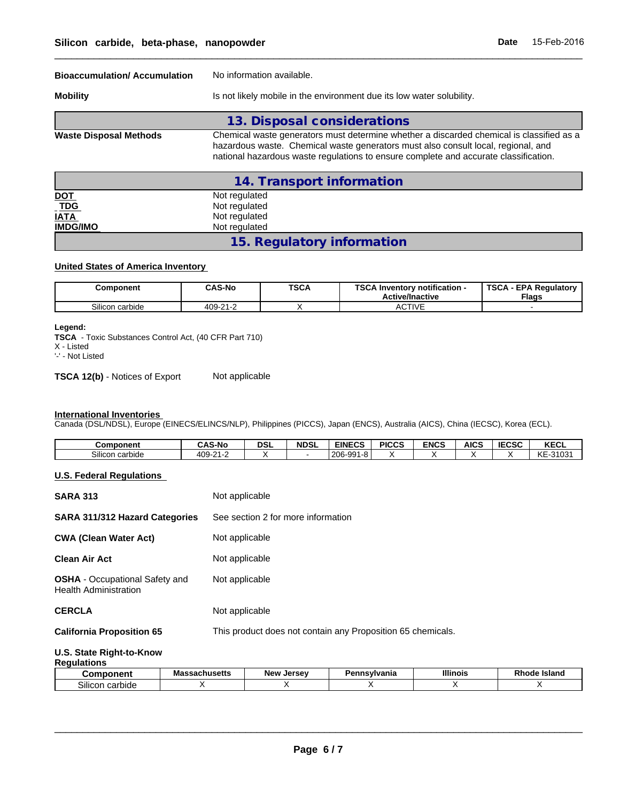| Silicon carbide, beta-phase, nanopowder                    |                                                                  |                             |                                                                                                                                                                                                                                                                       | <b>Date</b> | 15-Feb-2016                                  |
|------------------------------------------------------------|------------------------------------------------------------------|-----------------------------|-----------------------------------------------------------------------------------------------------------------------------------------------------------------------------------------------------------------------------------------------------------------------|-------------|----------------------------------------------|
| <b>Bioaccumulation/ Accumulation</b>                       |                                                                  | No information available.   |                                                                                                                                                                                                                                                                       |             |                                              |
| <b>Mobility</b>                                            |                                                                  |                             | Is not likely mobile in the environment due its low water solubility.                                                                                                                                                                                                 |             |                                              |
|                                                            |                                                                  | 13. Disposal considerations |                                                                                                                                                                                                                                                                       |             |                                              |
| <b>Waste Disposal Methods</b>                              |                                                                  |                             | Chemical waste generators must determine whether a discarded chemical is classified as a<br>hazardous waste. Chemical waste generators must also consult local, regional, and<br>national hazardous waste regulations to ensure complete and accurate classification. |             |                                              |
|                                                            |                                                                  | 14. Transport information   |                                                                                                                                                                                                                                                                       |             |                                              |
| <u>DOT</u><br><b>TDG</b><br><b>IATA</b><br><b>IMDG/IMO</b> | Not regulated<br>Not regulated<br>Not regulated<br>Not regulated |                             |                                                                                                                                                                                                                                                                       |             |                                              |
|                                                            |                                                                  | 15. Regulatory information  |                                                                                                                                                                                                                                                                       |             |                                              |
| <b>United States of America Inventory</b>                  |                                                                  |                             |                                                                                                                                                                                                                                                                       |             |                                              |
| Component                                                  | <b>CAS-No</b>                                                    | <b>TSCA</b>                 | <b>TSCA Inventory notification -</b><br><b>Active/Inactive</b>                                                                                                                                                                                                        |             | <b>TSCA - EPA Regulatory</b><br><b>Flags</b> |

### **United States of America Inventory**

| Component       | <b>CAS-No</b> | <b>TSCA</b> | <b>TOO A.I.</b><br>Inventory notification -<br><b>Active/Inactive</b> | <b>TSCA</b><br><b>EPA Requiatory</b><br><b>Flags</b> |
|-----------------|---------------|-------------|-----------------------------------------------------------------------|------------------------------------------------------|
| Silicon carbide | 409-21-2      |             | <b>CTIVE</b><br>AC.                                                   |                                                      |

### **Legend:**

### **International Inventories**

| <b>TSCA</b> - Toxic Substances Control Act, (40 CFR Part 710)<br>X - Listed<br>'-' - Not Listed                                 |                           |                  |             |                                       |                   |                  |                  |                   |                         |  |
|---------------------------------------------------------------------------------------------------------------------------------|---------------------------|------------------|-------------|---------------------------------------|-------------------|------------------|------------------|-------------------|-------------------------|--|
| <b>TSCA 12(b)</b> - Notices of Export                                                                                           | Not applicable            |                  |             |                                       |                   |                  |                  |                   |                         |  |
|                                                                                                                                 |                           |                  |             |                                       |                   |                  |                  |                   |                         |  |
|                                                                                                                                 |                           |                  |             |                                       |                   |                  |                  |                   |                         |  |
| <b>International Inventories</b>                                                                                                |                           |                  |             |                                       |                   |                  |                  |                   |                         |  |
| Canada (DSL/NDSL), Europe (EINECS/ELINCS/NLP), Philippines (PICCS), Japan (ENCS), Australia (AICS), China (IECSC), Korea (ECL). |                           |                  |             |                                       |                   |                  |                  |                   |                         |  |
|                                                                                                                                 |                           |                  |             |                                       |                   |                  |                  |                   |                         |  |
| Component<br>Silicon carbide                                                                                                    | <b>CAS-No</b><br>409-21-2 | <b>DSL</b><br>X. | <b>NDSL</b> | <b>EINECS</b><br>  206-991-8 <b> </b> | <b>PICCS</b><br>X | <b>ENCS</b><br>X | <b>AICS</b><br>X | <b>IECSC</b><br>X | <b>KECL</b><br>KE-31031 |  |

### **U.S. Federal Regulations**

| SARA 313                                                       | Not applicable       |                                                             |              |                 |                     |  |  |  |
|----------------------------------------------------------------|----------------------|-------------------------------------------------------------|--------------|-----------------|---------------------|--|--|--|
| SARA 311/312 Hazard Categories                                 |                      | See section 2 for more information                          |              |                 |                     |  |  |  |
| <b>CWA (Clean Water Act)</b>                                   |                      | Not applicable                                              |              |                 |                     |  |  |  |
| Clean Air Act                                                  |                      | Not applicable                                              |              |                 |                     |  |  |  |
| <b>OSHA</b> - Occupational Safety and<br>Health Administration | Not applicable       |                                                             |              |                 |                     |  |  |  |
| CERCLA                                                         | Not applicable       |                                                             |              |                 |                     |  |  |  |
| <b>California Proposition 65</b>                               |                      | This product does not contain any Proposition 65 chemicals. |              |                 |                     |  |  |  |
| U.S. State Right-to-Know<br>Regulations                        |                      |                                                             |              |                 |                     |  |  |  |
| <b>Component</b>                                               | <b>Massachusetts</b> | <b>New Jersey</b>                                           | Pennsylvania | <b>Illinois</b> | <b>Rhode Island</b> |  |  |  |
| Silicon carbide                                                | X                    | Χ                                                           | Χ            | Χ               | X                   |  |  |  |

## **Regulations**

| .                              |                                    |                        |                 |                 |                          |
|--------------------------------|------------------------------------|------------------------|-----------------|-----------------|--------------------------|
| onent<br>$. \n\rightharpoonup$ | <b>Anucatte</b><br>aaunuacua<br>wo | . Jersev<br><b>New</b> | nsvlvania<br>מט | <b>Illinois</b> | . .<br>e Island<br>knoae |
| ~…<br>carbide<br>Silicor       |                                    |                        |                 |                 |                          |